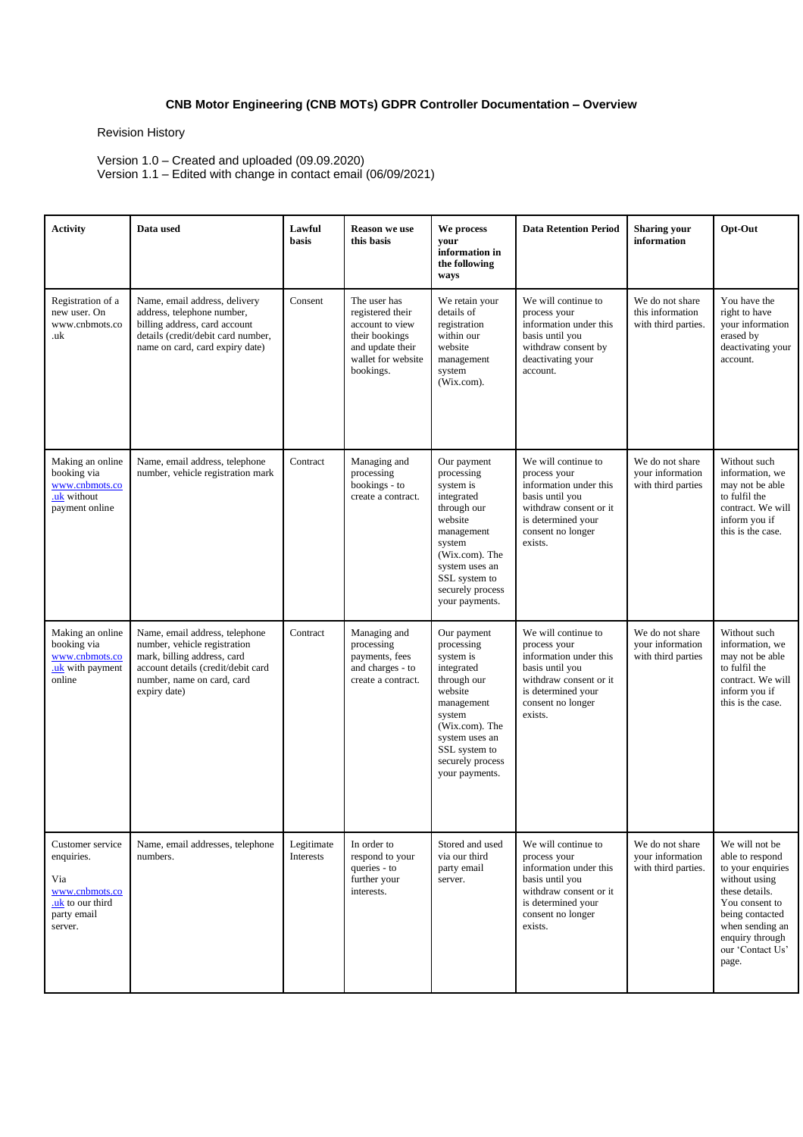## **CNB Motor Engineering (CNB MOTs) GDPR Controller Documentation – Overview**

Revision History

Version 1.0 – Created and uploaded (09.09.2020) Version 1.1 – Edited with change in contact email (06/09/2021)

| <b>Activity</b>                                                                                       | Data used                                                                                                                                                                         | Lawful<br>basis         | <b>Reason</b> we use<br>this basis                                                                                           | We process<br>your<br>information in<br>the following<br>ways                                                                                                                                     | <b>Data Retention Period</b>                                                                                                                                     | <b>Sharing your</b><br>information                         | Opt-Out                                                                                                                                                                                           |
|-------------------------------------------------------------------------------------------------------|-----------------------------------------------------------------------------------------------------------------------------------------------------------------------------------|-------------------------|------------------------------------------------------------------------------------------------------------------------------|---------------------------------------------------------------------------------------------------------------------------------------------------------------------------------------------------|------------------------------------------------------------------------------------------------------------------------------------------------------------------|------------------------------------------------------------|---------------------------------------------------------------------------------------------------------------------------------------------------------------------------------------------------|
| Registration of a<br>new user. On<br>www.cnbmots.co<br>.uk                                            | Name, email address, delivery<br>address, telephone number,<br>billing address, card account<br>details (credit/debit card number,<br>name on card, card expiry date)             | Consent                 | The user has<br>registered their<br>account to view<br>their bookings<br>and update their<br>wallet for website<br>bookings. | We retain your<br>details of<br>registration<br>within our<br>website<br>management<br>system<br>(Wix.com).                                                                                       | We will continue to<br>process your<br>information under this<br>basis until you<br>withdraw consent by<br>deactivating your<br>account.                         | We do not share<br>this information<br>with third parties. | You have the<br>right to have<br>your information<br>erased by<br>deactivating your<br>account.                                                                                                   |
| Making an online<br>booking via<br>www.cnbmots.co<br>.uk without<br>payment online                    | Name, email address, telephone<br>number, vehicle registration mark                                                                                                               | Contract                | Managing and<br>processing<br>bookings - to<br>create a contract.                                                            | Our payment<br>processing<br>system is<br>integrated<br>through our<br>website<br>management<br>system<br>(Wix.com). The<br>system uses an<br>SSL system to<br>securely process<br>your payments. | We will continue to<br>process your<br>information under this<br>basis until you<br>withdraw consent or it<br>is determined your<br>consent no longer<br>exists. | We do not share<br>your information<br>with third parties  | Without such<br>information, we<br>may not be able<br>to fulfil the<br>contract. We will<br>inform you if<br>this is the case.                                                                    |
| Making an online<br>booking via<br>www.cnbmots.co<br>.uk with payment<br>online                       | Name, email address, telephone<br>number, vehicle registration<br>mark, billing address, card<br>account details (credit/debit card<br>number, name on card, card<br>expiry date) | Contract                | Managing and<br>processing<br>payments, fees<br>and charges - to<br>create a contract.                                       | Our payment<br>processing<br>system is<br>integrated<br>through our<br>website<br>management<br>system<br>(Wix.com). The<br>system uses an<br>SSL system to<br>securely process<br>your payments. | We will continue to<br>process your<br>information under this<br>basis until you<br>withdraw consent or it<br>is determined your<br>consent no longer<br>exists. | We do not share<br>your information<br>with third parties  | Without such<br>information, we<br>may not be able<br>to fulfil the<br>contract. We will<br>inform you if<br>this is the case.                                                                    |
| Customer service<br>enquiries.<br>Via<br>www.cnbmots.co<br>.uk to our third<br>party email<br>server. | Name, email addresses, telephone<br>numbers.                                                                                                                                      | Legitimate<br>Interests | In order to<br>respond to your<br>queries - to<br>further your<br>interests.                                                 | Stored and used<br>via our third<br>party email<br>server.                                                                                                                                        | We will continue to<br>process your<br>information under this<br>basis until you<br>withdraw consent or it<br>is determined your<br>consent no longer<br>exists. | We do not share<br>vour information<br>with third parties. | We will not be<br>able to respond<br>to your enquiries<br>without using<br>these details.<br>You consent to<br>being contacted<br>when sending an<br>enquiry through<br>our 'Contact Us'<br>page. |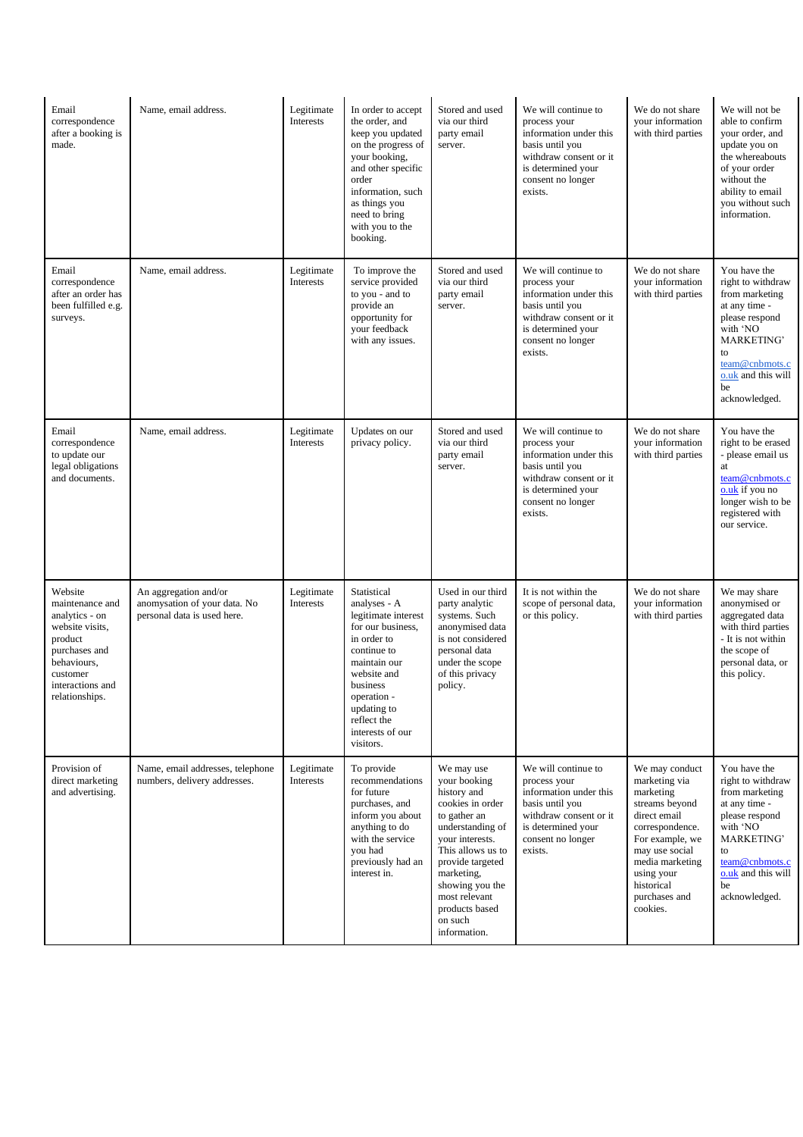| Email<br>correspondence<br>after a booking is<br>made.                                                                                                       | Name, email address.                                                                 | Legitimate<br>Interests | In order to accept<br>the order, and<br>keep you updated<br>on the progress of<br>your booking,<br>and other specific<br>order<br>information, such<br>as things you<br>need to bring<br>with you to the<br>booking.           | Stored and used<br>via our third<br>party email<br>server.                                                                                                                                                                                                   | We will continue to<br>process your<br>information under this<br>basis until you<br>withdraw consent or it<br>is determined your<br>consent no longer<br>exists. | We do not share<br>your information<br>with third parties                                                                                                                                                          | We will not be<br>able to confirm<br>your order, and<br>update you on<br>the whereabouts<br>of your order<br>without the<br>ability to email<br>you without such<br>information.             |
|--------------------------------------------------------------------------------------------------------------------------------------------------------------|--------------------------------------------------------------------------------------|-------------------------|--------------------------------------------------------------------------------------------------------------------------------------------------------------------------------------------------------------------------------|--------------------------------------------------------------------------------------------------------------------------------------------------------------------------------------------------------------------------------------------------------------|------------------------------------------------------------------------------------------------------------------------------------------------------------------|--------------------------------------------------------------------------------------------------------------------------------------------------------------------------------------------------------------------|----------------------------------------------------------------------------------------------------------------------------------------------------------------------------------------------|
| Email<br>correspondence<br>after an order has<br>been fulfilled e.g.<br>surveys.                                                                             | Name, email address.                                                                 | Legitimate<br>Interests | To improve the<br>service provided<br>to you - and to<br>provide an<br>opportunity for<br>your feedback<br>with any issues.                                                                                                    | Stored and used<br>via our third<br>party email<br>server.                                                                                                                                                                                                   | We will continue to<br>process your<br>information under this<br>basis until you<br>withdraw consent or it<br>is determined your<br>consent no longer<br>exists. | We do not share<br>your information<br>with third parties                                                                                                                                                          | You have the<br>right to withdraw<br>from marketing<br>at any time -<br>please respond<br>with 'NO<br><b>MARKETING'</b><br>to<br>team@cnbmots.c<br>o.uk and this will<br>be<br>acknowledged. |
| Email<br>correspondence<br>to update our<br>legal obligations<br>and documents.                                                                              | Name, email address.                                                                 | Legitimate<br>Interests | Updates on our<br>privacy policy.                                                                                                                                                                                              | Stored and used<br>via our third<br>party email<br>server.                                                                                                                                                                                                   | We will continue to<br>process your<br>information under this<br>basis until you<br>withdraw consent or it<br>is determined your<br>consent no longer<br>exists. | We do not share<br>your information<br>with third parties                                                                                                                                                          | You have the<br>right to be erased<br>- please email us<br>at<br>team@cnbmots.c<br>o.uk if you no<br>longer wish to be<br>registered with<br>our service.                                    |
| Website<br>maintenance and<br>analytics - on<br>website visits,<br>product<br>purchases and<br>behaviours,<br>customer<br>interactions and<br>relationships. | An aggregation and/or<br>anomysation of your data. No<br>personal data is used here. | Legitimate<br>Interests | Statistical<br>analyses - A<br>legitimate interest<br>for our business.<br>in order to<br>continue to<br>maintain our<br>website and<br>business<br>operation -<br>updating to<br>reflect the<br>interests of our<br>visitors. | Used in our third<br>party analytic<br>systems. Such<br>anonymised data<br>is not considered<br>personal data<br>under the scope<br>of this privacy<br>policy.                                                                                               | It is not within the<br>scope of personal data,<br>or this policy.                                                                                               | We do not share<br>your information<br>with third parties                                                                                                                                                          | We may share<br>anonymised or<br>aggregated data<br>with third parties<br>- It is not within<br>the scope of<br>personal data, or<br>this policy.                                            |
| Provision of<br>direct marketing<br>and advertising.                                                                                                         | Name, email addresses, telephone<br>numbers, delivery addresses.                     | Legitimate<br>Interests | To provide<br>recommendations<br>for future<br>purchases, and<br>inform you about<br>anything to do<br>with the service<br>you had<br>previously had an<br>interest in.                                                        | We may use<br>your booking<br>history and<br>cookies in order<br>to gather an<br>understanding of<br>your interests.<br>This allows us to<br>provide targeted<br>marketing,<br>showing you the<br>most relevant<br>products based<br>on such<br>information. | We will continue to<br>process your<br>information under this<br>basis until you<br>withdraw consent or it<br>is determined your<br>consent no longer<br>exists. | We may conduct<br>marketing via<br>marketing<br>streams beyond<br>direct email<br>correspondence.<br>For example, we<br>may use social<br>media marketing<br>using your<br>historical<br>purchases and<br>cookies. | You have the<br>right to withdraw<br>from marketing<br>at any time -<br>please respond<br>with 'NO<br>MARKETING'<br>to<br>team@cnbmots.c<br>o.uk and this will<br>be<br>acknowledged.        |